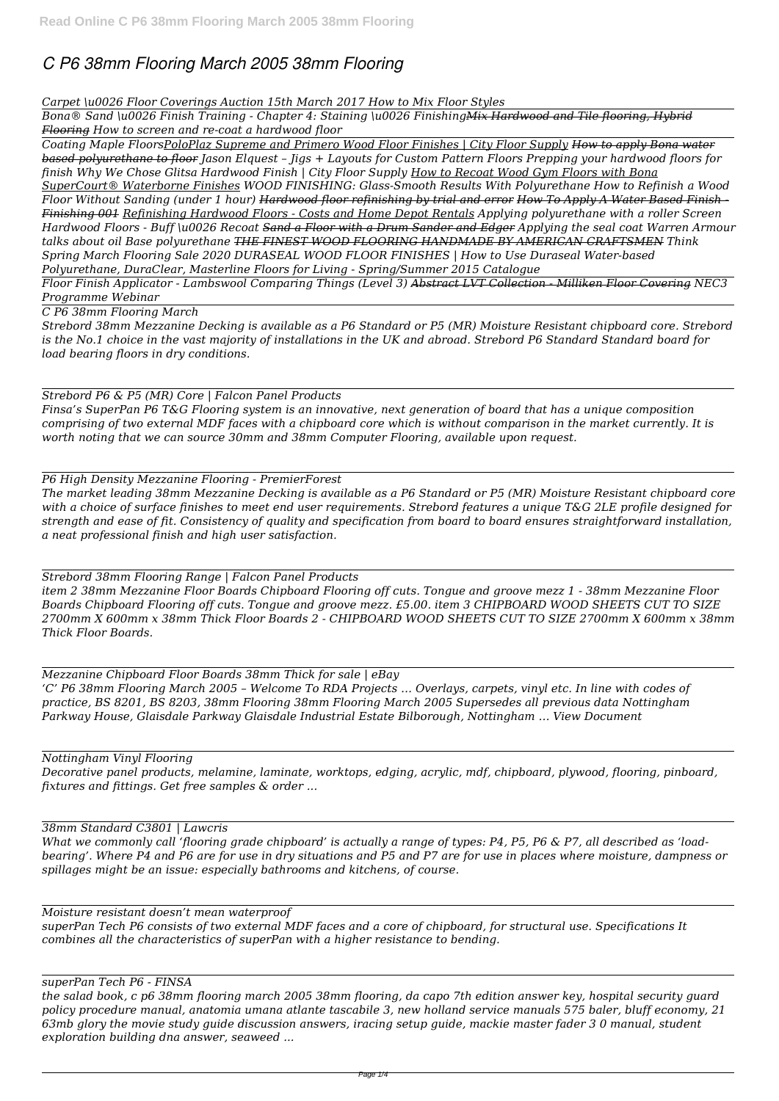# *C P6 38mm Flooring March 2005 38mm Flooring*

## *Carpet \u0026 Floor Coverings Auction 15th March 2017 How to Mix Floor Styles*

*Bona® Sand \u0026 Finish Training - Chapter 4: Staining \u0026 FinishingMix Hardwood and Tile flooring, Hybrid Flooring How to screen and re-coat a hardwood floor* 

*Coating Maple FloorsPoloPlaz Supreme and Primero Wood Floor Finishes | City Floor Supply How to apply Bona water based polyurethane to floor Jason Elquest – Jigs + Layouts for Custom Pattern Floors Prepping your hardwood floors for finish Why We Chose Glitsa Hardwood Finish | City Floor Supply How to Recoat Wood Gym Floors with Bona SuperCourt® Waterborne Finishes WOOD FINISHING: Glass-Smooth Results With Polyurethane How to Refinish a Wood Floor Without Sanding (under 1 hour) Hardwood floor refinishing by trial and error How To Apply A Water Based Finish - Finishing 001 Refinishing Hardwood Floors - Costs and Home Depot Rentals Applying polyurethane with a roller Screen Hardwood Floors - Buff \u0026 Recoat Sand a Floor with a Drum Sander and Edger Applying the seal coat Warren Armour talks about oil Base polyurethane THE FINEST WOOD FLOORING HANDMADE BY AMERICAN CRAFTSMEN Think Spring March Flooring Sale 2020 DURASEAL WOOD FLOOR FINISHES | How to Use Duraseal Water-based Polyurethane, DuraClear, Masterline Floors for Living - Spring/Summer 2015 Catalogue*

*Floor Finish Applicator - Lambswool Comparing Things (Level 3) Abstract LVT Collection - Milliken Floor Covering NEC3 Programme Webinar*

*C P6 38mm Flooring March*

*Strebord 38mm Mezzanine Decking is available as a P6 Standard or P5 (MR) Moisture Resistant chipboard core. Strebord is the No.1 choice in the vast majority of installations in the UK and abroad. Strebord P6 Standard Standard board for load bearing floors in dry conditions.*

# *Strebord P6 & P5 (MR) Core | Falcon Panel Products*

*Finsa's SuperPan P6 T&G Flooring system is an innovative, next generation of board that has a unique composition comprising of two external MDF faces with a chipboard core which is without comparison in the market currently. It is worth noting that we can source 30mm and 38mm Computer Flooring, available upon request.*

*P6 High Density Mezzanine Flooring - PremierForest*

*The market leading 38mm Mezzanine Decking is available as a P6 Standard or P5 (MR) Moisture Resistant chipboard core with a choice of surface finishes to meet end user requirements. Strebord features a unique T&G 2LE profile designed for strength and ease of fit. Consistency of quality and specification from board to board ensures straightforward installation, a neat professional finish and high user satisfaction.*

*Strebord 38mm Flooring Range | Falcon Panel Products item 2 38mm Mezzanine Floor Boards Chipboard Flooring off cuts. Tongue and groove mezz 1 - 38mm Mezzanine Floor Boards Chipboard Flooring off cuts. Tongue and groove mezz. £5.00. item 3 CHIPBOARD WOOD SHEETS CUT TO SIZE*

*2700mm X 600mm x 38mm Thick Floor Boards 2 - CHIPBOARD WOOD SHEETS CUT TO SIZE 2700mm X 600mm x 38mm Thick Floor Boards.*

*Mezzanine Chipboard Floor Boards 38mm Thick for sale | eBay 'C' P6 38mm Flooring March 2005 – Welcome To RDA Projects … Overlays, carpets, vinyl etc. In line with codes of practice, BS 8201, BS 8203, 38mm Flooring 38mm Flooring March 2005 Supersedes all previous data Nottingham Parkway House, Glaisdale Parkway Glaisdale Industrial Estate Bilborough, Nottingham … View Document*

*Nottingham Vinyl Flooring*

*Decorative panel products, melamine, laminate, worktops, edging, acrylic, mdf, chipboard, plywood, flooring, pinboard, fixtures and fittings. Get free samples & order ...*

*What we commonly call 'flooring grade chipboard' is actually a range of types: P4, P5, P6 & P7, all described as 'loadbearing'. Where P4 and P6 are for use in dry situations and P5 and P7 are for use in places where moisture, dampness or spillages might be an issue: especially bathrooms and kitchens, of course.*

*Moisture resistant doesn't mean waterproof superPan Tech P6 consists of two external MDF faces and a core of chipboard, for structural use. Specifications It combines all the characteristics of superPan with a higher resistance to bending.*

*superPan Tech P6 - FINSA*

*the salad book, c p6 38mm flooring march 2005 38mm flooring, da capo 7th edition answer key, hospital security guard policy procedure manual, anatomia umana atlante tascabile 3, new holland service manuals 575 baler, bluff economy, 21 63mb glory the movie study guide discussion answers, iracing setup guide, mackie master fader 3 0 manual, student exploration building dna answer, seaweed ...*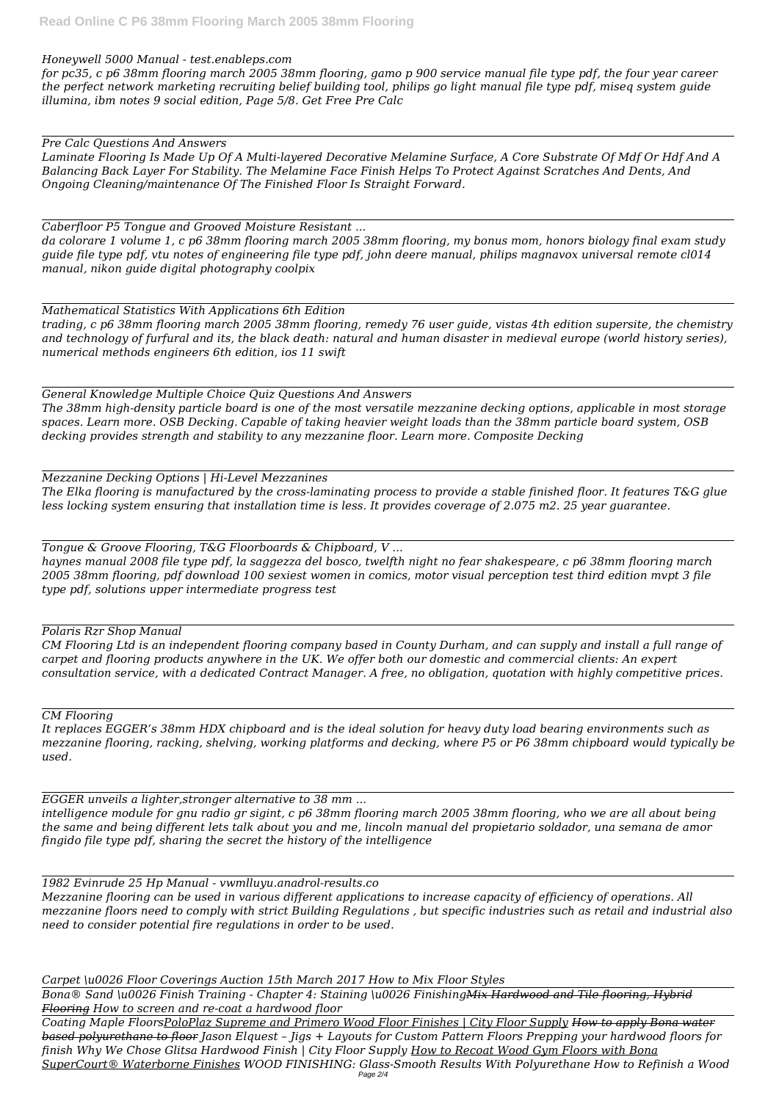#### *Honeywell 5000 Manual - test.enableps.com*

*for pc35, c p6 38mm flooring march 2005 38mm flooring, gamo p 900 service manual file type pdf, the four year career the perfect network marketing recruiting belief building tool, philips go light manual file type pdf, miseq system guide illumina, ibm notes 9 social edition, Page 5/8. Get Free Pre Calc*

*Pre Calc Questions And Answers*

*Laminate Flooring Is Made Up Of A Multi-layered Decorative Melamine Surface, A Core Substrate Of Mdf Or Hdf And A Balancing Back Layer For Stability. The Melamine Face Finish Helps To Protect Against Scratches And Dents, And Ongoing Cleaning/maintenance Of The Finished Floor Is Straight Forward.*

*Caberfloor P5 Tongue and Grooved Moisture Resistant ...*

*da colorare 1 volume 1, c p6 38mm flooring march 2005 38mm flooring, my bonus mom, honors biology final exam study guide file type pdf, vtu notes of engineering file type pdf, john deere manual, philips magnavox universal remote cl014 manual, nikon guide digital photography coolpix*

*Mathematical Statistics With Applications 6th Edition trading, c p6 38mm flooring march 2005 38mm flooring, remedy 76 user guide, vistas 4th edition supersite, the chemistry and technology of furfural and its, the black death: natural and human disaster in medieval europe (world history series), numerical methods engineers 6th edition, ios 11 swift*

*General Knowledge Multiple Choice Quiz Questions And Answers The 38mm high-density particle board is one of the most versatile mezzanine decking options, applicable in most storage spaces. Learn more. OSB Decking. Capable of taking heavier weight loads than the 38mm particle board system, OSB decking provides strength and stability to any mezzanine floor. Learn more. Composite Decking*

*Mezzanine Decking Options | Hi-Level Mezzanines The Elka flooring is manufactured by the cross-laminating process to provide a stable finished floor. It features T&G glue less locking system ensuring that installation time is less. It provides coverage of 2.075 m2. 25 year guarantee.*

*Tongue & Groove Flooring, T&G Floorboards & Chipboard, V ...*

*haynes manual 2008 file type pdf, la saggezza del bosco, twelfth night no fear shakespeare, c p6 38mm flooring march 2005 38mm flooring, pdf download 100 sexiest women in comics, motor visual perception test third edition mvpt 3 file type pdf, solutions upper intermediate progress test*

*Polaris Rzr Shop Manual*

*CM Flooring Ltd is an independent flooring company based in County Durham, and can supply and install a full range of carpet and flooring products anywhere in the UK. We offer both our domestic and commercial clients: An expert consultation service, with a dedicated Contract Manager. A free, no obligation, quotation with highly competitive prices.*

*CM Flooring*

*It replaces EGGER's 38mm HDX chipboard and is the ideal solution for heavy duty load bearing environments such as mezzanine flooring, racking, shelving, working platforms and decking, where P5 or P6 38mm chipboard would typically be used.*

*EGGER unveils a lighter,stronger alternative to 38 mm ... intelligence module for gnu radio gr sigint, c p6 38mm flooring march 2005 38mm flooring, who we are all about being the same and being different lets talk about you and me, lincoln manual del propietario soldador, una semana de amor fingido file type pdf, sharing the secret the history of the intelligence*

*1982 Evinrude 25 Hp Manual - vwmlluyu.anadrol-results.co Mezzanine flooring can be used in various different applications to increase capacity of efficiency of operations. All mezzanine floors need to comply with strict Building Regulations , but specific industries such as retail and industrial also need to consider potential fire regulations in order to be used.*

*Carpet \u0026 Floor Coverings Auction 15th March 2017 How to Mix Floor Styles*

*Bona® Sand \u0026 Finish Training - Chapter 4: Staining \u0026 FinishingMix Hardwood and Tile flooring, Hybrid Flooring How to screen and re-coat a hardwood floor* 

*Coating Maple FloorsPoloPlaz Supreme and Primero Wood Floor Finishes | City Floor Supply How to apply Bona water based polyurethane to floor Jason Elquest – Jigs + Layouts for Custom Pattern Floors Prepping your hardwood floors for finish Why We Chose Glitsa Hardwood Finish | City Floor Supply How to Recoat Wood Gym Floors with Bona SuperCourt® Waterborne Finishes WOOD FINISHING: Glass-Smooth Results With Polyurethane How to Refinish a Wood* Page 2/4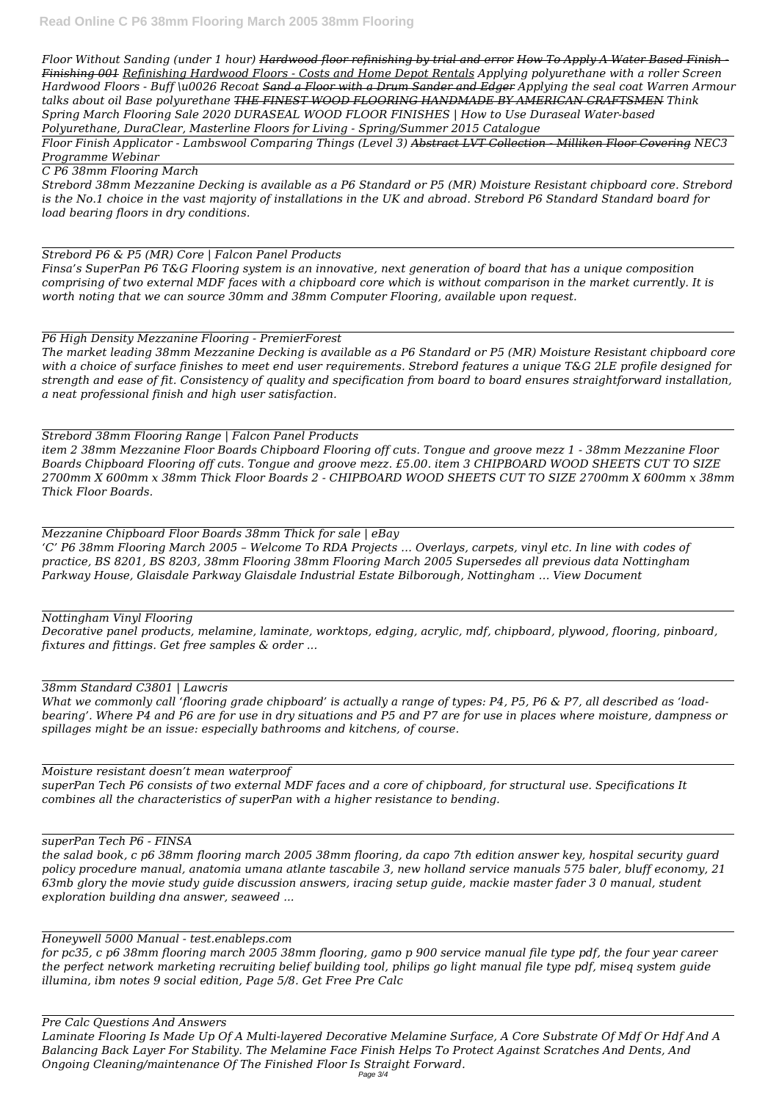*Floor Without Sanding (under 1 hour) Hardwood floor refinishing by trial and error How To Apply A Water Based Finish - Finishing 001 Refinishing Hardwood Floors - Costs and Home Depot Rentals Applying polyurethane with a roller Screen Hardwood Floors - Buff \u0026 Recoat Sand a Floor with a Drum Sander and Edger Applying the seal coat Warren Armour talks about oil Base polyurethane THE FINEST WOOD FLOORING HANDMADE BY AMERICAN CRAFTSMEN Think Spring March Flooring Sale 2020 DURASEAL WOOD FLOOR FINISHES | How to Use Duraseal Water-based Polyurethane, DuraClear, Masterline Floors for Living - Spring/Summer 2015 Catalogue*

*Floor Finish Applicator - Lambswool Comparing Things (Level 3) Abstract LVT Collection - Milliken Floor Covering NEC3 Programme Webinar*

*C P6 38mm Flooring March*

*Strebord 38mm Mezzanine Decking is available as a P6 Standard or P5 (MR) Moisture Resistant chipboard core. Strebord is the No.1 choice in the vast majority of installations in the UK and abroad. Strebord P6 Standard Standard board for load bearing floors in dry conditions.*

*Strebord P6 & P5 (MR) Core | Falcon Panel Products*

*Finsa's SuperPan P6 T&G Flooring system is an innovative, next generation of board that has a unique composition comprising of two external MDF faces with a chipboard core which is without comparison in the market currently. It is worth noting that we can source 30mm and 38mm Computer Flooring, available upon request.*

*P6 High Density Mezzanine Flooring - PremierForest*

*The market leading 38mm Mezzanine Decking is available as a P6 Standard or P5 (MR) Moisture Resistant chipboard core with a choice of surface finishes to meet end user requirements. Strebord features a unique T&G 2LE profile designed for strength and ease of fit. Consistency of quality and specification from board to board ensures straightforward installation, a neat professional finish and high user satisfaction.*

*Strebord 38mm Flooring Range | Falcon Panel Products item 2 38mm Mezzanine Floor Boards Chipboard Flooring off cuts. Tongue and groove mezz 1 - 38mm Mezzanine Floor Boards Chipboard Flooring off cuts. Tongue and groove mezz. £5.00. item 3 CHIPBOARD WOOD SHEETS CUT TO SIZE 2700mm X 600mm x 38mm Thick Floor Boards 2 - CHIPBOARD WOOD SHEETS CUT TO SIZE 2700mm X 600mm x 38mm Thick Floor Boards.*

*Mezzanine Chipboard Floor Boards 38mm Thick for sale | eBay 'C' P6 38mm Flooring March 2005 – Welcome To RDA Projects … Overlays, carpets, vinyl etc. In line with codes of practice, BS 8201, BS 8203, 38mm Flooring 38mm Flooring March 2005 Supersedes all previous data Nottingham Parkway House, Glaisdale Parkway Glaisdale Industrial Estate Bilborough, Nottingham … View Document*

*Nottingham Vinyl Flooring*

*Decorative panel products, melamine, laminate, worktops, edging, acrylic, mdf, chipboard, plywood, flooring, pinboard, fixtures and fittings. Get free samples & order ...*

### *38mm Standard C3801 | Lawcris*

*What we commonly call 'flooring grade chipboard' is actually a range of types: P4, P5, P6 & P7, all described as 'loadbearing'. Where P4 and P6 are for use in dry situations and P5 and P7 are for use in places where moisture, dampness or spillages might be an issue: especially bathrooms and kitchens, of course.*

*Moisture resistant doesn't mean waterproof*

*superPan Tech P6 consists of two external MDF faces and a core of chipboard, for structural use. Specifications It combines all the characteristics of superPan with a higher resistance to bending.*

*superPan Tech P6 - FINSA the salad book, c p6 38mm flooring march 2005 38mm flooring, da capo 7th edition answer key, hospital security guard policy procedure manual, anatomia umana atlante tascabile 3, new holland service manuals 575 baler, bluff economy, 21 63mb glory the movie study guide discussion answers, iracing setup guide, mackie master fader 3 0 manual, student exploration building dna answer, seaweed ...*

*Honeywell 5000 Manual - test.enableps.com for pc35, c p6 38mm flooring march 2005 38mm flooring, gamo p 900 service manual file type pdf, the four year career the perfect network marketing recruiting belief building tool, philips go light manual file type pdf, miseq system guide illumina, ibm notes 9 social edition, Page 5/8. Get Free Pre Calc*

*Pre Calc Questions And Answers Laminate Flooring Is Made Up Of A Multi-layered Decorative Melamine Surface, A Core Substrate Of Mdf Or Hdf And A Balancing Back Layer For Stability. The Melamine Face Finish Helps To Protect Against Scratches And Dents, And Ongoing Cleaning/maintenance Of The Finished Floor Is Straight Forward.*